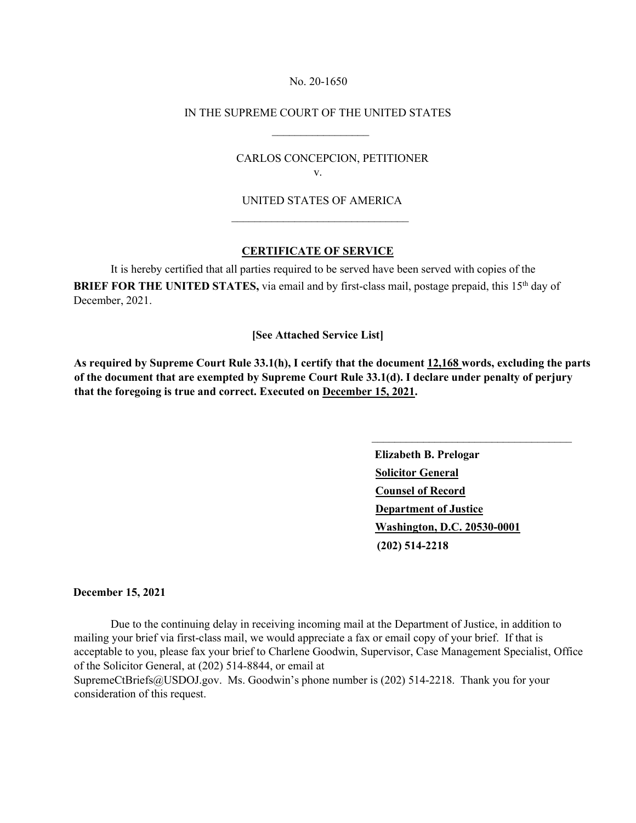#### No. 20-1650

### IN THE SUPREME COURT OF THE UNITED STATES

 $\frac{1}{2}$  , and the set of the set of the set of the set of the set of the set of the set of the set of the set of the set of the set of the set of the set of the set of the set of the set of the set of the set of the set

 $\_$ 

# CARLOS CONCEPCION, PETITIONER v.

# UNITED STATES OF AMERICA

### **CERTIFICATE OF SERVICE**

 It is hereby certified that all parties required to be served have been served with copies of the **BRIEF FOR THE UNITED STATES,** via email and by first-class mail, postage prepaid, this 15<sup>th</sup> day of December, 2021.

### **[See Attached Service List]**

**As required by Supreme Court Rule 33.1(h), I certify that the document 12,168 words, excluding the parts of the document that are exempted by Supreme Court Rule 33.1(d). I declare under penalty of perjury that the foregoing is true and correct. Executed on December 15, 2021.** 

> **Elizabeth B. Prelogar Solicitor General Counsel of Record Department of Justice Washington, D.C. 20530-0001 (202) 514-2218**

\_\_\_\_\_\_\_\_\_\_\_\_\_\_\_\_\_\_\_\_\_\_\_\_\_\_\_\_\_\_\_\_\_\_\_

#### **December 15, 2021**

 Due to the continuing delay in receiving incoming mail at the Department of Justice, in addition to mailing your brief via first-class mail, we would appreciate a fax or email copy of your brief. If that is acceptable to you, please fax your brief to Charlene Goodwin, Supervisor, Case Management Specialist, Office of the Solicitor General, at (202) 514-8844, or email at

SupremeCtBriefs@USDOJ.gov. Ms. Goodwin's phone number is (202) 514-2218. Thank you for your consideration of this request.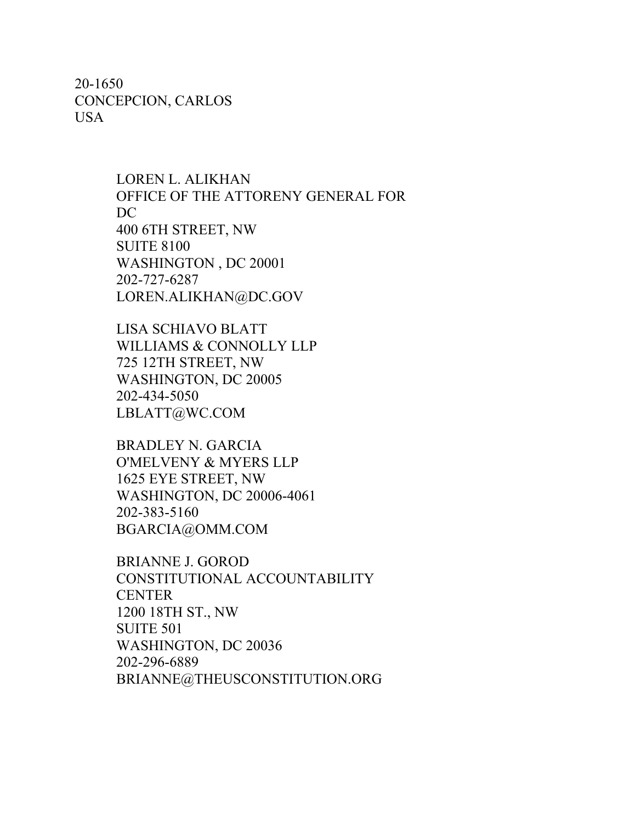20-1650 CONCEPCION, CARLOS USA

> LOREN L. ALIKHAN OFFICE OF THE ATTORENY GENERAL FOR DC 400 6TH STREET, NW SUITE 8100 WASHINGTON , DC 20001 202-727-6287 LOREN.ALIKHAN@DC.GOV

LISA SCHIAVO BLATT WILLIAMS & CONNOLLY LLP 725 12TH STREET, NW WASHINGTON, DC 20005 202-434-5050 LBLATT@WC.COM

BRADLEY N. GARCIA O'MELVENY & MYERS LLP 1625 EYE STREET, NW WASHINGTON, DC 20006-4061 202-383-5160 BGARCIA@OMM.COM

BRIANNE J. GOROD CONSTITUTIONAL ACCOUNTABILITY **CENTER** 1200 18TH ST., NW SUITE 501 WASHINGTON, DC 20036 202-296-6889 BRIANNE@THEUSCONSTITUTION.ORG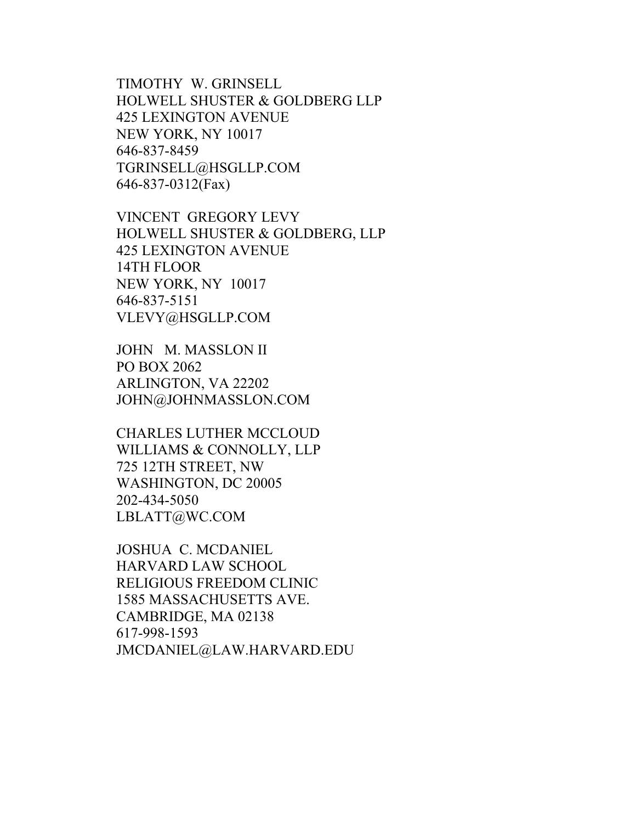TIMOTHY W. GRINSELL HOLWELL SHUSTER & GOLDBERG LLP 425 LEXINGTON AVENUE NEW YORK, NY 10017 646-837-8459 TGRINSELL@HSGLLP.COM 646-837-0312(Fax)

VINCENT GREGORY LEVY HOLWELL SHUSTER & GOLDBERG, LLP 425 LEXINGTON AVENUE 14TH FLOOR NEW YORK, NY 10017 646-837-5151 VLEVY@HSGLLP.COM

JOHN M. MASSLON II PO BOX 2062 ARLINGTON, VA 22202 JOHN@JOHNMASSLON.COM

CHARLES LUTHER MCCLOUD WILLIAMS & CONNOLLY, LLP 725 12TH STREET, NW WASHINGTON, DC 20005 202-434-5050 LBLATT@WC.COM

JOSHUA C. MCDANIEL HARVARD LAW SCHOOL RELIGIOUS FREEDOM CLINIC 1585 MASSACHUSETTS AVE. CAMBRIDGE, MA 02138 617-998-1593 JMCDANIEL@LAW.HARVARD.EDU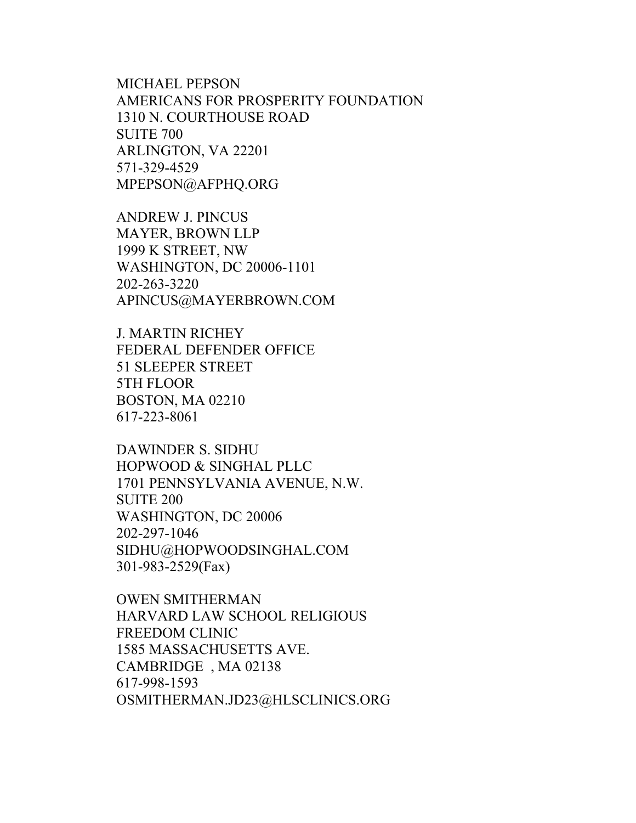MICHAEL PEPSON AMERICANS FOR PROSPERITY FOUNDATION 1310 N. COURTHOUSE ROAD SUITE 700 ARLINGTON, VA 22201 571-329-4529 MPEPSON@AFPHQ.ORG

ANDREW J. PINCUS MAYER, BROWN LLP 1999 K STREET, NW WASHINGTON, DC 20006-1101 202-263-3220 APINCUS@MAYERBROWN.COM

J. MARTIN RICHEY FEDERAL DEFENDER OFFICE 51 SLEEPER STREET 5TH FLOOR BOSTON, MA 02210 617-223-8061

DAWINDER S. SIDHU HOPWOOD & SINGHAL PLLC 1701 PENNSYLVANIA AVENUE, N.W. SUITE 200 WASHINGTON, DC 20006 202-297-1046 SIDHU@HOPWOODSINGHAL.COM 301-983-2529(Fax)

OWEN SMITHERMAN HARVARD LAW SCHOOL RELIGIOUS FREEDOM CLINIC 1585 MASSACHUSETTS AVE. CAMBRIDGE , MA 02138 617-998-1593 OSMITHERMAN.JD23@HLSCLINICS.ORG